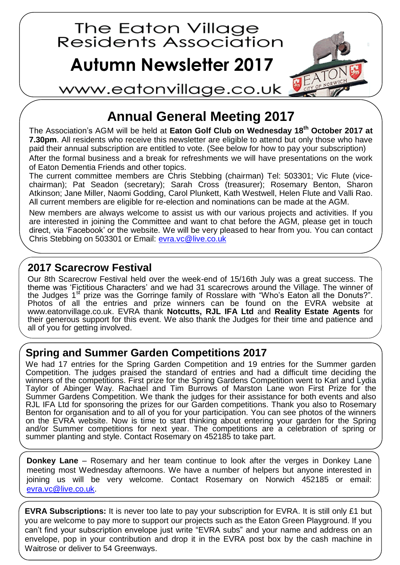

## **Annual General Meeting 2017**

The Association's AGM will be held at **Eaton Golf Club on Wednesday 18th October 2017 at 7.30pm**. All residents who receive this newsletter are eligible to attend but only those who have paid their annual subscription are entitled to vote. (See below for how to pay your subscription)

After the formal business and a break for refreshments we will have presentations on the work of Eaton Dementia Friends and other topics.

The current committee members are Chris Stebbing (chairman) Tel: 503301; Vic Flute (vicechairman); Pat Seadon (secretary); Sarah Cross (treasurer); Rosemary Benton, Sharon Atkinson; Jane Miller, Naomi Godding, Carol Plunkett, Kath Westwell, Helen Flute and Valli Rao. All current members are eligible for re-election and nominations can be made at the AGM.

New members are always welcome to assist us with our various projects and activities. If you are interested in joining the Committee and want to chat before the AGM, please get in touch direct, via 'Facebook' or the website. We will be very pleased to hear from you. You can contact Chris Stebbing on 503301 or Email:<evra.vc@live.co.uk>

## **2017 Scarecrow Festival**

Our 8th Scarecrow Festival held over the week-end of 15/16th July was a great success. The theme was 'Fictitious Characters' and we had 31 scarecrows around the Village. The winner of the Judges 1st prize was the Gorringe family of Rosslare with "Who's Eaton all the Donuts?". Photos of all the entries and prize winners can be found on the EVRA website at [www.eatonvillage.co.uk.](http://www.eatonvillage.co.uk/) EVRA thank **Notcutts, RJL IFA Ltd** and **Reality Estate Agents** for their generous support for this event. We also thank the Judges for their time and patience and all of you for getting involved.

## **Spring and Summer Garden Competitions 2017**

We had 17 entries for the Spring Garden Competition and 19 entries for the Summer garden Competition. The judges praised the standard of entries and had a difficult time deciding the winners of the competitions. First prize for the Spring Gardens Competition went to Karl and Lydia Taylor of Abinger Way. Rachael and Tim Burrows of Marston Lane won First Prize for the Summer Gardens Competition. We thank the judges for their assistance for both events and also RJL IFA Ltd for sponsoring the prizes for our Garden competitions. Thank you also to Rosemary Benton for organisation and to all of you for your participation. You can see photos of the winners on the EVRA website. Now is time to start thinking about entering your garden for the Spring and/or Summer competitions for next year. The competitions are a celebration of spring or summer planting and style. Contact Rosemary on 452185 to take part.

**Donkey Lane** – Rosemary and her team continue to look after the verges in Donkey Lane meeting most Wednesday afternoons. We have a number of helpers but anyone interested in joining us will be very welcome. Contact Rosemary on Norwich 452185 or email: [evra.vc@live.co.uk.](evra.vc@live.co.uk)

**EVRA Subscriptions:** It is never too late to pay your subscription for EVRA. It is still only £1 but you are welcome to pay more to support our projects such as the Eaton Green Playground. If you can't find your subscription envelope just write "EVRA subs" and your name and address on an envelope, pop in your contribution and drop it in the EVRA post box by the cash machine in Waitrose or deliver to 54 Greenways.